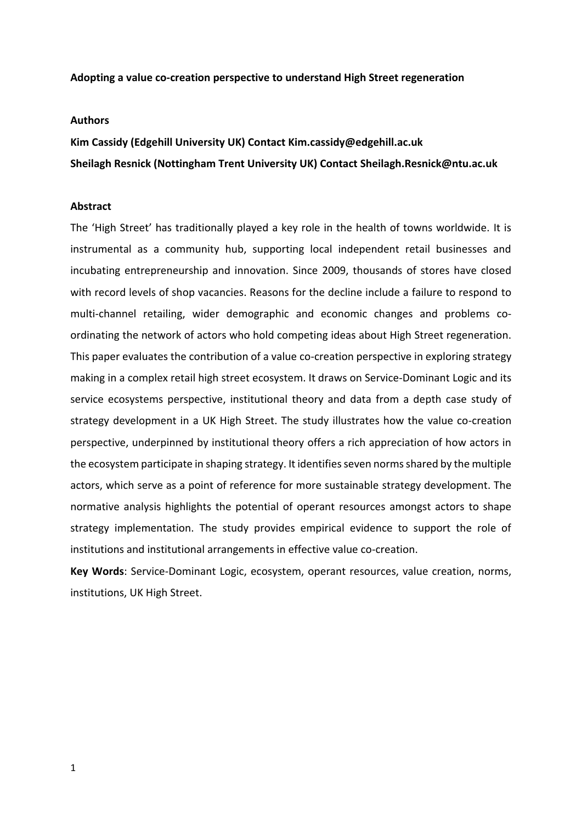### **Adopting a value co-creation perspective to understand High Street regeneration**

#### **Authors**

**Kim Cassidy (Edgehill University UK) Contact Kim.cassidy@edgehill.ac.uk Sheilagh Resnick (Nottingham Trent University UK) Contact Sheilagh.Resnick@ntu.ac.uk**

## **Abstract**

The 'High Street' has traditionally played a key role in the health of towns worldwide. It is instrumental as a community hub, supporting local independent retail businesses and incubating entrepreneurship and innovation. Since 2009, thousands of stores have closed with record levels of shop vacancies. Reasons for the decline include a failure to respond to multi-channel retailing, wider demographic and economic changes and problems coordinating the network of actors who hold competing ideas about High Street regeneration. This paper evaluates the contribution of a value co-creation perspective in exploring strategy making in a complex retail high street ecosystem. It draws on Service-Dominant Logic and its service ecosystems perspective, institutional theory and data from a depth case study of strategy development in a UK High Street. The study illustrates how the value co-creation perspective, underpinned by institutional theory offers a rich appreciation of how actors in the ecosystem participate in shaping strategy. It identifies seven norms shared by the multiple actors, which serve as a point of reference for more sustainable strategy development. The normative analysis highlights the potential of operant resources amongst actors to shape strategy implementation. The study provides empirical evidence to support the role of institutions and institutional arrangements in effective value co-creation.

**Key Words**: Service-Dominant Logic, ecosystem, operant resources, value creation, norms, institutions, UK High Street.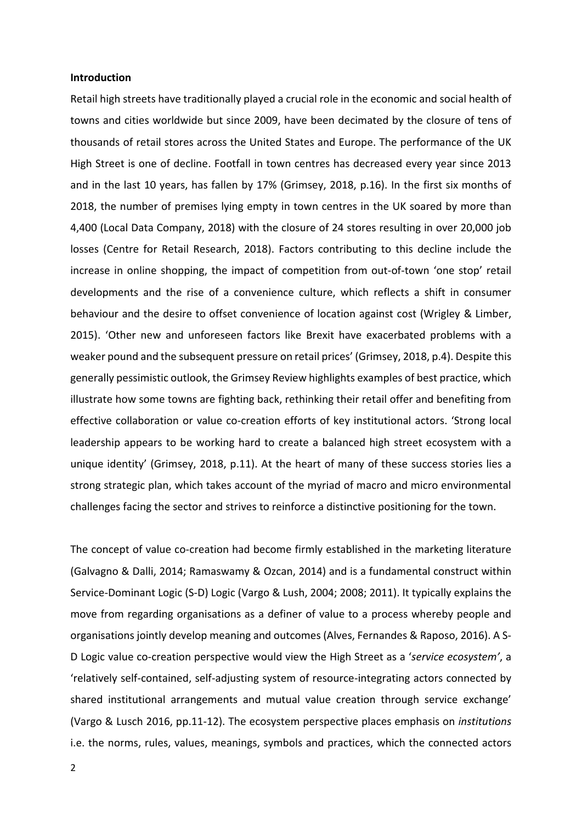#### **Introduction**

Retail high streets have traditionally played a crucial role in the economic and social health of towns and cities worldwide but since 2009, have been decimated by the closure of tens of thousands of retail stores across the United States and Europe. The performance of the UK High Street is one of decline. Footfall in town centres has decreased every year since 2013 and in the last 10 years, has fallen by 17% (Grimsey, 2018, p.16). In the first six months of 2018, the number of premises lying empty in town centres in the UK soared by more than 4,400 (Local Data Company, 2018) with the closure of 24 stores resulting in over 20,000 job losses (Centre for Retail Research, 2018). Factors contributing to this decline include the increase in online shopping, the impact of competition from out-of-town 'one stop' retail developments and the rise of a convenience culture, which reflects a shift in consumer behaviour and the desire to offset convenience of location against cost (Wrigley & Limber, 2015). 'Other new and unforeseen factors like Brexit have exacerbated problems with a weaker pound and the subsequent pressure on retail prices' (Grimsey, 2018, p.4). Despite this generally pessimistic outlook, the Grimsey Review highlights examples of best practice, which illustrate how some towns are fighting back, rethinking their retail offer and benefiting from effective collaboration or value co-creation efforts of key institutional actors. 'Strong local leadership appears to be working hard to create a balanced high street ecosystem with a unique identity' (Grimsey, 2018, p.11). At the heart of many of these success stories lies a strong strategic plan, which takes account of the myriad of macro and micro environmental challenges facing the sector and strives to reinforce a distinctive positioning for the town.

The concept of value co-creation had become firmly established in the marketing literature (Galvagno & Dalli, 2014; Ramaswamy & Ozcan, 2014) and is a fundamental construct within Service-Dominant Logic (S-D) Logic (Vargo & Lush, 2004; 2008; 2011). It typically explains the move from regarding organisations as a definer of value to a process whereby people and organisations jointly develop meaning and outcomes (Alves, Fernandes & Raposo, 2016). A S-D Logic value co-creation perspective would view the High Street as a '*service ecosystem'*, a 'relatively self-contained, self-adjusting system of resource-integrating actors connected by shared institutional arrangements and mutual value creation through service exchange' (Vargo & Lusch 2016, pp.11-12). The ecosystem perspective places emphasis on *institutions* i.e. the norms, rules, values, meanings, symbols and practices, which the connected actors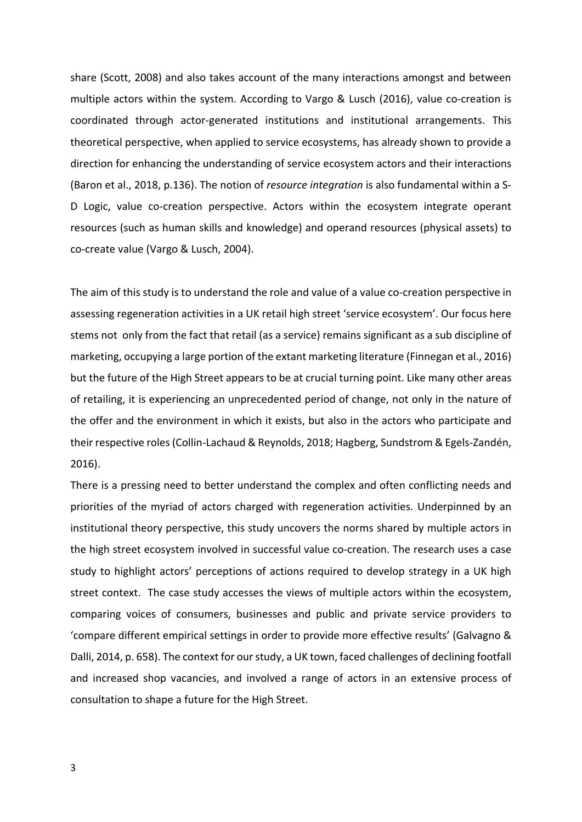share (Scott, 2008) and also takes account of the many interactions amongst and between multiple actors within the system. According to Vargo & Lusch (2016), value co-creation is coordinated through actor-generated institutions and institutional arrangements. This theoretical perspective, when applied to service ecosystems, has already shown to provide a direction for enhancing the understanding of service ecosystem actors and their interactions (Baron et al., 2018, p.136). The notion of *resource integration* is also fundamental within a S-D Logic, value co-creation perspective. Actors within the ecosystem integrate operant resources (such as human skills and knowledge) and operand resources (physical assets) to co-create value (Vargo & Lusch, 2004).

The aim of this study is to understand the role and value of a value co-creation perspective in assessing regeneration activities in a UK retail high street 'service ecosystem'. Our focus here stems not only from the fact that retail (as a service) remains significant as a sub discipline of marketing, occupying a large portion of the extant marketing literature (Finnegan et al., 2016) but the future of the High Street appears to be at crucial turning point. Like many other areas of retailing, it is experiencing an unprecedented period of change, not only in the nature of the offer and the environment in which it exists, but also in the actors who participate and their respective roles (Collin-Lachaud & Reynolds, 2018; Hagberg, Sundstrom & Egels-Zandén, 2016).

There is a pressing need to better understand the complex and often conflicting needs and priorities of the myriad of actors charged with regeneration activities. Underpinned by an institutional theory perspective, this study uncovers the norms shared by multiple actors in the high street ecosystem involved in successful value co-creation. The research uses a case study to highlight actors' perceptions of actions required to develop strategy in a UK high street context. The case study accesses the views of multiple actors within the ecosystem, comparing voices of consumers, businesses and public and private service providers to 'compare different empirical settings in order to provide more effective results' (Galvagno & Dalli, 2014, p. 658). The context for our study, a UK town, faced challenges of declining footfall and increased shop vacancies, and involved a range of actors in an extensive process of consultation to shape a future for the High Street.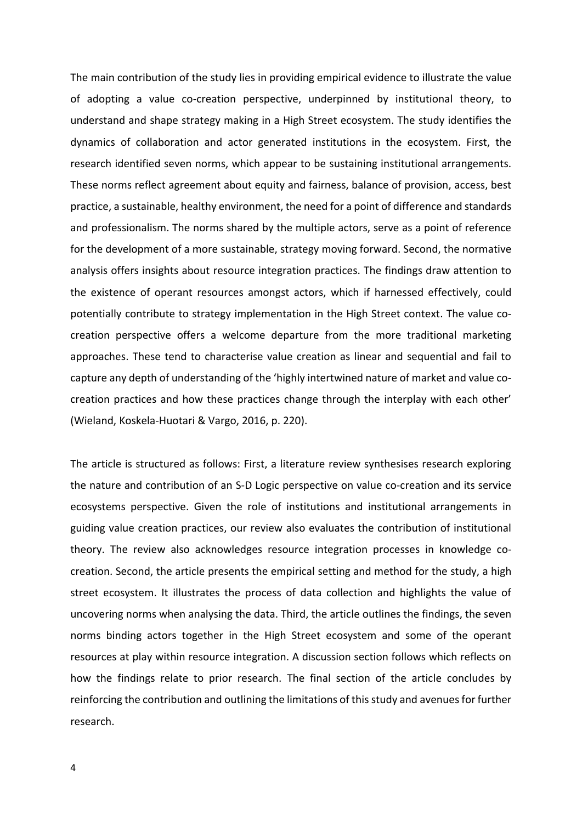The main contribution of the study lies in providing empirical evidence to illustrate the value of adopting a value co-creation perspective, underpinned by institutional theory, to understand and shape strategy making in a High Street ecosystem. The study identifies the dynamics of collaboration and actor generated institutions in the ecosystem. First, the research identified seven norms, which appear to be sustaining institutional arrangements. These norms reflect agreement about equity and fairness, balance of provision, access, best practice, a sustainable, healthy environment, the need for a point of difference and standards and professionalism. The norms shared by the multiple actors, serve as a point of reference for the development of a more sustainable, strategy moving forward. Second, the normative analysis offers insights about resource integration practices. The findings draw attention to the existence of operant resources amongst actors, which if harnessed effectively, could potentially contribute to strategy implementation in the High Street context. The value cocreation perspective offers a welcome departure from the more traditional marketing approaches. These tend to characterise value creation as linear and sequential and fail to capture any depth of understanding of the 'highly intertwined nature of market and value cocreation practices and how these practices change through the interplay with each other' (Wieland, Koskela-Huotari & Vargo, 2016, p. 220).

The article is structured as follows: First, a literature review synthesises research exploring the nature and contribution of an S-D Logic perspective on value co-creation and its service ecosystems perspective. Given the role of institutions and institutional arrangements in guiding value creation practices, our review also evaluates the contribution of institutional theory. The review also acknowledges resource integration processes in knowledge cocreation. Second, the article presents the empirical setting and method for the study, a high street ecosystem. It illustrates the process of data collection and highlights the value of uncovering norms when analysing the data. Third, the article outlines the findings, the seven norms binding actors together in the High Street ecosystem and some of the operant resources at play within resource integration. A discussion section follows which reflects on how the findings relate to prior research. The final section of the article concludes by reinforcing the contribution and outlining the limitations of this study and avenues for further research.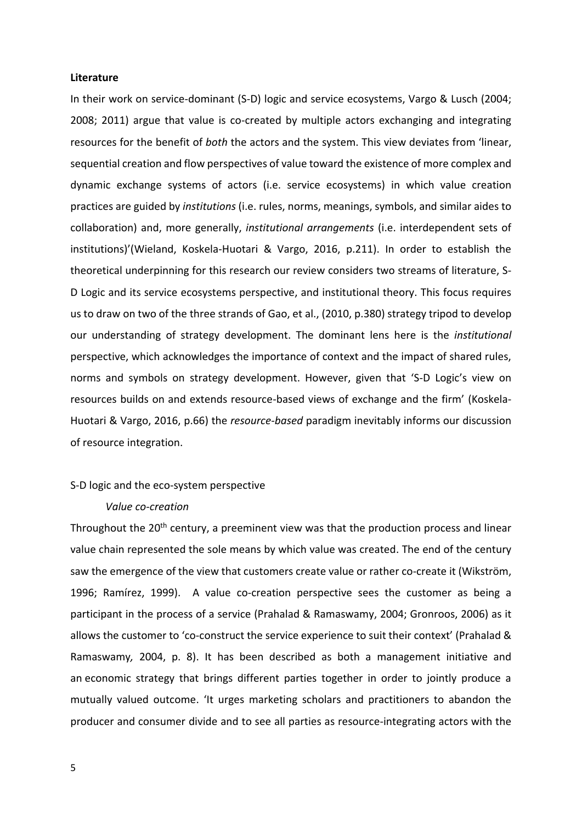#### **Literature**

In their work on service-dominant (S-D) logic and service ecosystems, Vargo & Lusch (2004; 2008; 2011) argue that value is co-created by multiple actors exchanging and integrating resources for the benefit of *both* the actors and the system. This view deviates from 'linear, sequential creation and flow perspectives of value toward the existence of more complex and dynamic exchange systems of actors (i.e. service ecosystems) in which value creation practices are guided by *institutions* (i.e. rules, norms, meanings, symbols, and similar aides to collaboration) and, more generally, *institutional arrangements* (i.e. interdependent sets of institutions)'(Wieland, Koskela-Huotari & Vargo, 2016, p.211). In order to establish the theoretical underpinning for this research our review considers two streams of literature, S-D Logic and its service ecosystems perspective, and institutional theory. This focus requires us to draw on two of the three strands of Gao, et al., (2010, p.380) strategy tripod to develop our understanding of strategy development. The dominant lens here is the *institutional*  perspective, which acknowledges the importance of context and the impact of shared rules, norms and symbols on strategy development. However, given that 'S-D Logic's view on resources builds on and extends resource-based views of exchange and the firm' (Koskela-Huotari & Vargo, 2016, p.66) the *resource-based* paradigm inevitably informs our discussion of resource integration.

# S-D logic and the eco-system perspective

## *Value co-creation*

Throughout the 20<sup>th</sup> century, a preeminent view was that the production process and linear value chain represented the sole means by which value was created. The end of the century saw the emergence of the view that customers create value or rather co-create it (Wikström, 1996; Ramírez, 1999). A value co-creation perspective sees the customer as being a participant in the process of a service (Prahalad & Ramaswamy, 2004; Gronroos, 2006) as it allows the customer to 'co-construct the service experience to suit their context' (Prahalad & Ramaswamy*,* 2004, p. 8). It has been described as both a management initiative and an economic strategy that brings different parties together in order to jointly produce a mutually valued outcome. 'It urges marketing scholars and practitioners to abandon the producer and consumer divide and to see all parties as resource-integrating actors with the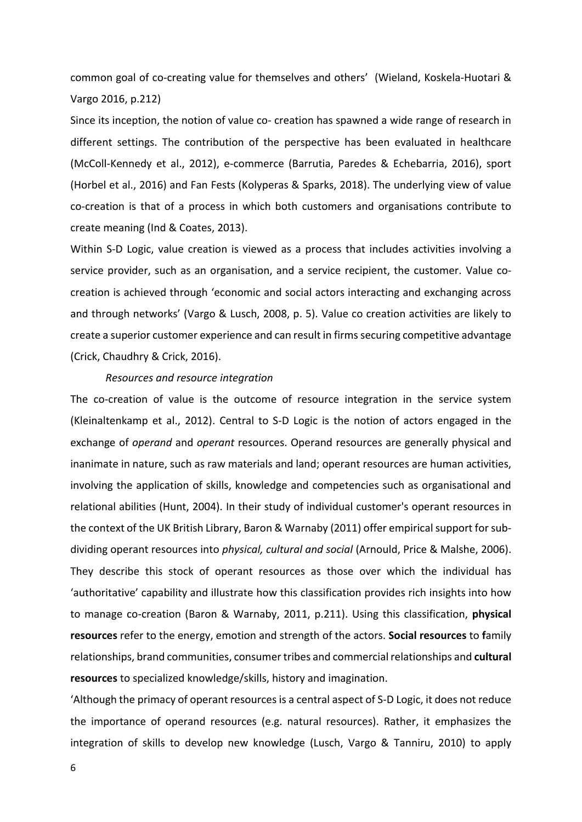common goal of co-creating value for themselves and others' (Wieland, Koskela-Huotari & Vargo 2016, p.212)

Since its inception, the notion of value co- creation has spawned a wide range of research in different settings. The contribution of the perspective has been evaluated in healthcare (McColl-Kennedy et al., 2012), e-commerce (Barrutia, Paredes & Echebarria, 2016), sport (Horbel et al., 2016) and Fan Fests (Kolyperas & Sparks, 2018). The underlying view of value co-creation is that of a process in which both customers and organisations contribute to create meaning (Ind & Coates, 2013).

Within S-D Logic, value creation is viewed as a process that includes activities involving a service provider, such as an organisation, and a service recipient, the customer. Value cocreation is achieved through 'economic and social actors interacting and exchanging across and through networks' (Vargo & Lusch, 2008, p. 5). Value co creation activities are likely to create a superior customer experience and can result in firms securing competitive advantage (Crick, Chaudhry & Crick, 2016).

### *Resources and resource integration*

The co-creation of value is the outcome of resource integration in the service system (Kleinaltenkamp et al., 2012). Central to S-D Logic is the notion of actors engaged in the exchange of *operand* and *operant* resources. Operand resources are generally physical and inanimate in nature, such as raw materials and land; operant resources are human activities, involving the application of skills, knowledge and competencies such as organisational and relational abilities (Hunt, 2004). In their study of individual customer's operant resources in the context of the UK British Library, Baron & Warnaby (2011) offer empirical support for subdividing operant resources into *physical, cultural and social* (Arnould, Price & Malshe, 2006). They describe this stock of operant resources as those over which the individual has 'authoritative' capability and illustrate how this classification provides rich insights into how to manage co-creation (Baron & Warnaby, 2011, p.211). Using this classification, **physical resources** refer to the energy, emotion and strength of the actors. **Social resources** to **f**amily relationships, brand communities, consumer tribes and commercial relationships and **cultural resources** to specialized knowledge/skills, history and imagination.

'Although the primacy of operant resources is a central aspect of S-D Logic, it does not reduce the importance of operand resources (e.g. natural resources). Rather, it emphasizes the integration of skills to develop new knowledge (Lusch, Vargo & Tanniru, 2010) to apply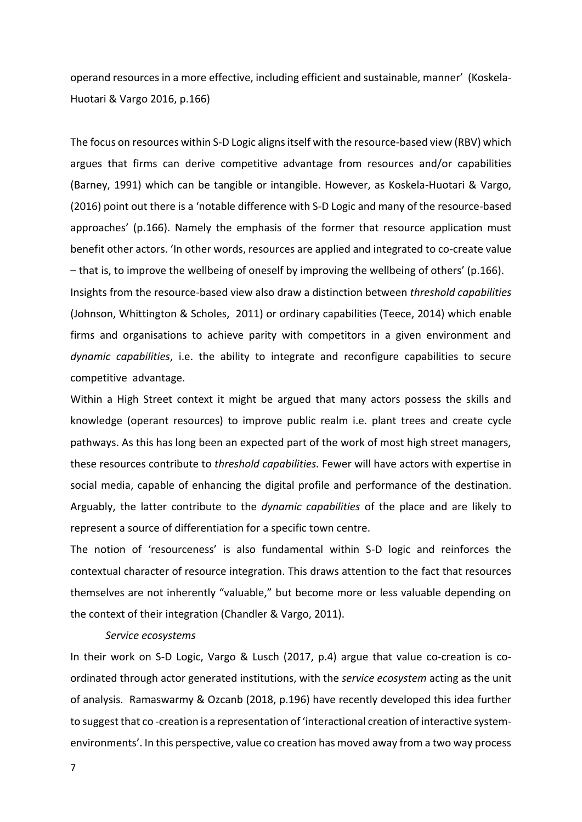operand resources in a more effective, including efficient and sustainable, manner' (Koskela-Huotari & Vargo 2016, p.166)

The focus on resources within S-D Logic aligns itself with the resource-based view (RBV) which argues that firms can derive competitive advantage from resources and/or capabilities (Barney, 1991) which can be tangible or intangible. However, as Koskela-Huotari & Vargo, (2016) point out there is a 'notable difference with S-D Logic and many of the resource-based approaches' (p.166). Namely the emphasis of the former that resource application must benefit other actors. 'In other words, resources are applied and integrated to co-create value – that is, to improve the wellbeing of oneself by improving the wellbeing of others' (p.166).

Insights from the resource-based view also draw a distinction between *threshold capabilities* (Johnson, Whittington & Scholes, 2011) or ordinary capabilities (Teece, 2014) which enable firms and organisations to achieve parity with competitors in a given environment and *dynamic capabilities*, i.e. the ability to integrate and reconfigure capabilities to secure competitive advantage.

Within a High Street context it might be argued that many actors possess the skills and knowledge (operant resources) to improve public realm i.e. plant trees and create cycle pathways. As this has long been an expected part of the work of most high street managers, these resources contribute to *threshold capabilities.* Fewer will have actors with expertise in social media, capable of enhancing the digital profile and performance of the destination. Arguably, the latter contribute to the *dynamic capabilities* of the place and are likely to represent a source of differentiation for a specific town centre.

The notion of 'resourceness' is also fundamental within S-D logic and reinforces the contextual character of resource integration. This draws attention to the fact that resources themselves are not inherently "valuable," but become more or less valuable depending on the context of their integration (Chandler & Vargo, 2011).

### *Service ecosystems*

In their work on S-D Logic, Vargo & Lusch (2017, p.4) argue that value co-creation is coordinated through actor generated institutions, with the *service ecosystem* acting as the unit of analysis. Ramaswarmy & Ozcanb (2018, p.196) have recently developed this idea further to suggest that co -creation is a representation of 'interactional creation of interactive systemenvironments'. In this perspective, value co creation has moved away from a two way process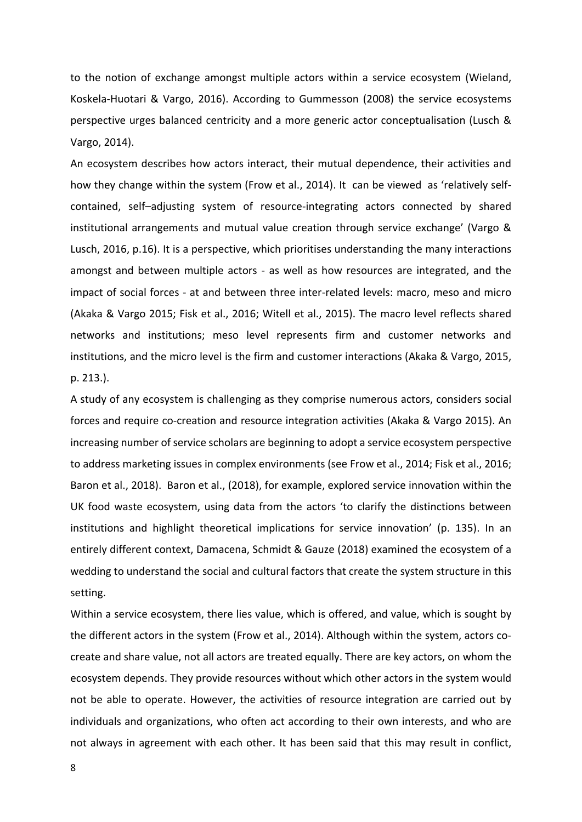to the notion of exchange amongst multiple actors within a service ecosystem (Wieland, Koskela-Huotari & Vargo, 2016). According to Gummesson (2008) the service ecosystems perspective urges balanced centricity and a more generic actor conceptualisation (Lusch & Vargo, 2014).

An ecosystem describes how actors interact, their mutual dependence, their activities and how they change within the system (Frow et al., 2014). It can be viewed as 'relatively selfcontained, self–adjusting system of resource-integrating actors connected by shared institutional arrangements and mutual value creation through service exchange' (Vargo & Lusch, 2016, p.16). It is a perspective, which prioritises understanding the many interactions amongst and between multiple actors - as well as how resources are integrated, and the impact of social forces - at and between three inter-related levels: macro, meso and micro (Akaka & Vargo 2015; Fisk et al., 2016; Witell et al., 2015). The macro level reflects shared networks and institutions; meso level represents firm and customer networks and institutions, and the micro level is the firm and customer interactions (Akaka & Vargo, 2015, p. 213.).

A study of any ecosystem is challenging as they comprise numerous actors, considers social forces and require co-creation and resource integration activities (Akaka & Vargo 2015). An increasing number of service scholars are beginning to adopt a service ecosystem perspective to address marketing issues in complex environments (see Frow et al., 2014; Fisk et al., 2016; Baron et al., 2018). Baron et al., (2018), for example, explored service innovation within the UK food waste ecosystem, using data from the actors 'to clarify the distinctions between institutions and highlight theoretical implications for service innovation' (p. 135). In an entirely different context, Damacena, Schmidt & Gauze (2018) examined the ecosystem of a wedding to understand the social and cultural factors that create the system structure in this setting.

Within a service ecosystem, there lies value, which is offered, and value, which is sought by the different actors in the system (Frow et al., 2014). Although within the system, actors cocreate and share value, not all actors are treated equally. There are key actors, on whom the ecosystem depends. They provide resources without which other actors in the system would not be able to operate. However, the activities of resource integration are carried out by individuals and organizations, who often act according to their own interests, and who are not always in agreement with each other. It has been said that this may result in conflict,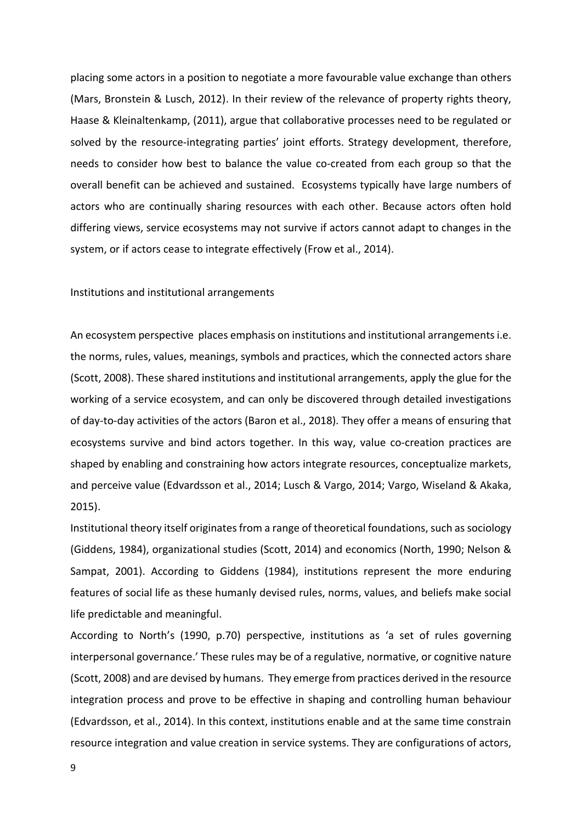placing some actors in a position to negotiate a more favourable value exchange than others (Mars, Bronstein & Lusch, 2012). In their review of the relevance of property rights theory, Haase & Kleinaltenkamp, (2011), argue that collaborative processes need to be regulated or solved by the resource-integrating parties' joint efforts. Strategy development, therefore, needs to consider how best to balance the value co-created from each group so that the overall benefit can be achieved and sustained. Ecosystems typically have large numbers of actors who are continually sharing resources with each other. Because actors often hold differing views, service ecosystems may not survive if actors cannot adapt to changes in the system, or if actors cease to integrate effectively (Frow et al., 2014).

#### Institutions and institutional arrangements

An ecosystem perspective places emphasis on institutions and institutional arrangements i.e. the norms, rules, values, meanings, symbols and practices, which the connected actors share (Scott, 2008). These shared institutions and institutional arrangements, apply the glue for the working of a service ecosystem, and can only be discovered through detailed investigations of day-to-day activities of the actors (Baron et al., 2018). They offer a means of ensuring that ecosystems survive and bind actors together. In this way, value co-creation practices are shaped by enabling and constraining how actors integrate resources, conceptualize markets, and perceive value (Edvardsson et al., 2014; Lusch & Vargo, 2014; Vargo, Wiseland & Akaka, 2015).

Institutional theory itself originates from a range of theoretical foundations, such as sociology (Giddens, 1984), organizational studies (Scott, 2014) and economics (North, 1990; Nelson & Sampat, 2001). According to Giddens (1984), institutions represent the more enduring features of social life as these humanly devised rules, norms, values, and beliefs make social life predictable and meaningful.

According to North's (1990, p.70) perspective, institutions as 'a set of rules governing interpersonal governance.' These rules may be of a regulative, normative, or cognitive nature (Scott, 2008) and are devised by humans. They emerge from practices derived in the resource integration process and prove to be effective in shaping and controlling human behaviour (Edvardsson, et al., 2014). In this context, institutions enable and at the same time constrain resource integration and value creation in service systems. They are configurations of actors,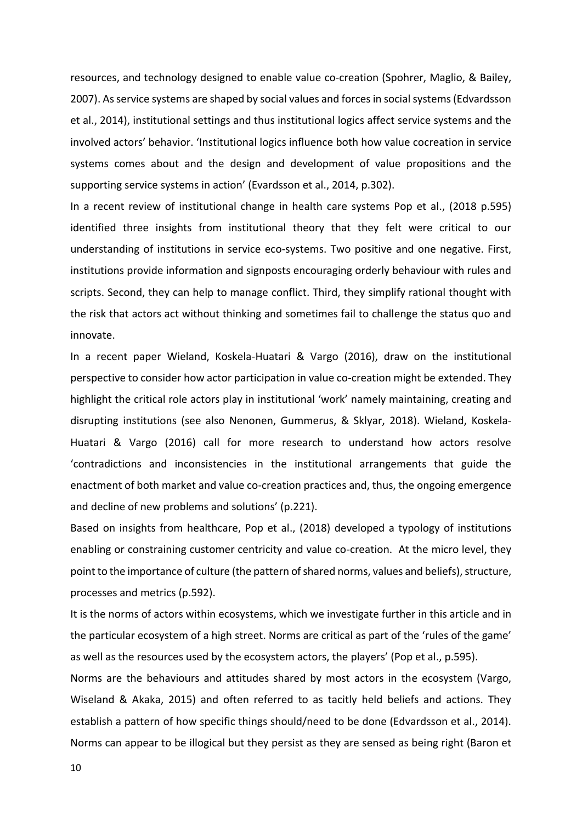resources, and technology designed to enable value co-creation (Spohrer, Maglio, & Bailey, 2007). As service systems are shaped by social values and forces in social systems (Edvardsson et al., 2014), institutional settings and thus institutional logics affect service systems and the involved actors' behavior. 'Institutional logics influence both how value cocreation in service systems comes about and the design and development of value propositions and the supporting service systems in action' (Evardsson et al., 2014, p.302).

In a recent review of institutional change in health care systems Pop et al., (2018 p.595) identified three insights from institutional theory that they felt were critical to our understanding of institutions in service eco-systems. Two positive and one negative. First, institutions provide information and signposts encouraging orderly behaviour with rules and scripts. Second, they can help to manage conflict. Third, they simplify rational thought with the risk that actors act without thinking and sometimes fail to challenge the status quo and innovate.

In a recent paper Wieland, Koskela-Huatari & Vargo (2016), draw on the institutional perspective to consider how actor participation in value co-creation might be extended. They highlight the critical role actors play in institutional 'work' namely maintaining, creating and disrupting institutions (see also Nenonen, Gummerus, & Sklyar, 2018). Wieland, Koskela-Huatari & Vargo (2016) call for more research to understand how actors resolve 'contradictions and inconsistencies in the institutional arrangements that guide the enactment of both market and value co-creation practices and, thus, the ongoing emergence and decline of new problems and solutions' (p.221).

Based on insights from healthcare, Pop et al., (2018) developed a typology of institutions enabling or constraining customer centricity and value co-creation. At the micro level, they point to the importance of culture (the pattern of shared norms, values and beliefs), structure, processes and metrics (p.592).

It is the norms of actors within ecosystems, which we investigate further in this article and in the particular ecosystem of a high street. Norms are critical as part of the 'rules of the game' as well as the resources used by the ecosystem actors, the players' (Pop et al., p.595).

Norms are the behaviours and attitudes shared by most actors in the ecosystem (Vargo, Wiseland & Akaka, 2015) and often referred to as tacitly held beliefs and actions. They establish a pattern of how specific things should/need to be done (Edvardsson et al., 2014). Norms can appear to be illogical but they persist as they are sensed as being right (Baron et

10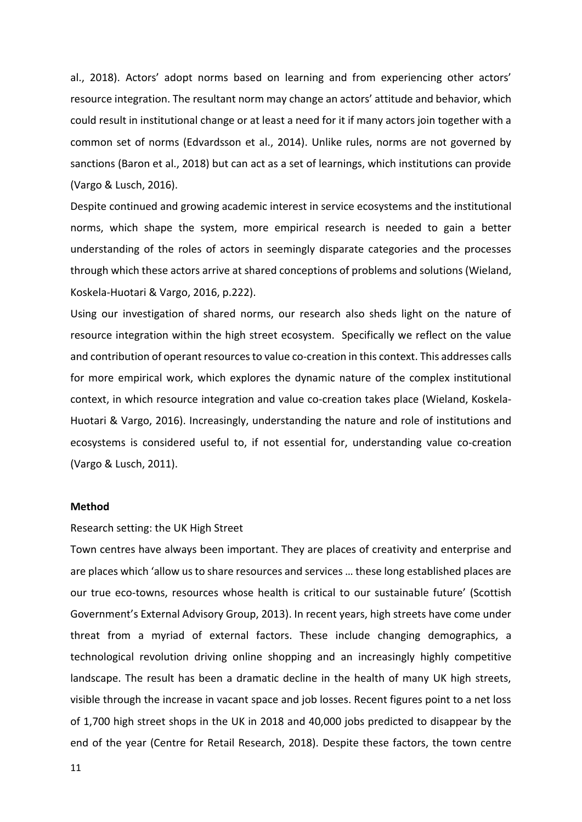al., 2018). Actors' adopt norms based on learning and from experiencing other actors' resource integration. The resultant norm may change an actors' attitude and behavior, which could result in institutional change or at least a need for it if many actors join together with a common set of norms (Edvardsson et al., 2014). Unlike rules, norms are not governed by sanctions (Baron et al., 2018) but can act as a set of learnings, which institutions can provide (Vargo & Lusch, 2016).

Despite continued and growing academic interest in service ecosystems and the institutional norms, which shape the system, more empirical research is needed to gain a better understanding of the roles of actors in seemingly disparate categories and the processes through which these actors arrive at shared conceptions of problems and solutions (Wieland, Koskela-Huotari & Vargo, 2016, p.222).

Using our investigation of shared norms, our research also sheds light on the nature of resource integration within the high street ecosystem. Specifically we reflect on the value and contribution of operant resources to value co-creation in this context. This addresses calls for more empirical work, which explores the dynamic nature of the complex institutional context, in which resource integration and value co-creation takes place (Wieland, Koskela-Huotari & Vargo, 2016). Increasingly, understanding the nature and role of institutions and ecosystems is considered useful to, if not essential for, understanding value co-creation (Vargo & Lusch, 2011).

## **Method**

#### Research setting: the UK High Street

Town centres have always been important. They are places of creativity and enterprise and are places which 'allow us to share resources and services … these long established places are our true eco-towns, resources whose health is critical to our sustainable future' (Scottish Government's External Advisory Group, 2013). In recent years, high streets have come under threat from a myriad of external factors. These include changing demographics, a technological revolution driving online shopping and an increasingly highly competitive landscape. The result has been a dramatic decline in the health of many UK high streets, visible through the increase in vacant space and job losses. Recent figures point to a net loss of 1,700 high street shops in the UK in 2018 and 40,000 jobs predicted to disappear by the end of the year (Centre for Retail Research, 2018). Despite these factors, the town centre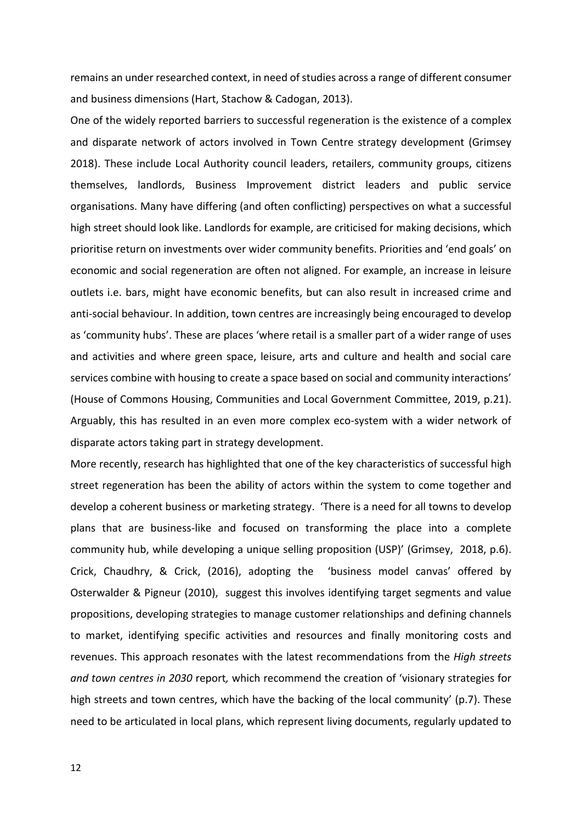remains an under researched context, in need of studies across a range of different consumer and business dimensions (Hart, Stachow & Cadogan, 2013).

One of the widely reported barriers to successful regeneration is the existence of a complex and disparate network of actors involved in Town Centre strategy development (Grimsey 2018). These include Local Authority council leaders, retailers, community groups, citizens themselves, landlords, Business Improvement district leaders and public service organisations. Many have differing (and often conflicting) perspectives on what a successful high street should look like. Landlords for example, are criticised for making decisions, which prioritise return on investments over wider community benefits. Priorities and 'end goals' on economic and social regeneration are often not aligned. For example, an increase in leisure outlets i.e. bars, might have economic benefits, but can also result in increased crime and anti-social behaviour. In addition, town centres are increasingly being encouraged to develop as 'community hubs'. These are places 'where retail is a smaller part of a wider range of uses and activities and where green space, leisure, arts and culture and health and social care services combine with housing to create a space based on social and community interactions' (House of Commons Housing, Communities and Local Government Committee, 2019, p.21). Arguably, this has resulted in an even more complex eco-system with a wider network of disparate actors taking part in strategy development.

More recently, research has highlighted that one of the key characteristics of successful high street regeneration has been the ability of actors within the system to come together and develop a coherent business or marketing strategy. 'There is a need for all towns to develop plans that are business-like and focused on transforming the place into a complete community hub, while developing a unique selling proposition (USP)' (Grimsey, 2018, p.6). Crick, Chaudhry, & Crick, (2016), adopting the 'business model canvas' offered by Osterwalder & Pigneur (2010), suggest this involves identifying target segments and value propositions, developing strategies to manage customer relationships and defining channels to market, identifying specific activities and resources and finally monitoring costs and revenues. This approach resonates with the latest recommendations from the *High streets and town centres in 2030* report*,* which recommend the creation of 'visionary strategies for high streets and town centres, which have the backing of the local community' (p.7). These need to be articulated in local plans, which represent living documents, regularly updated to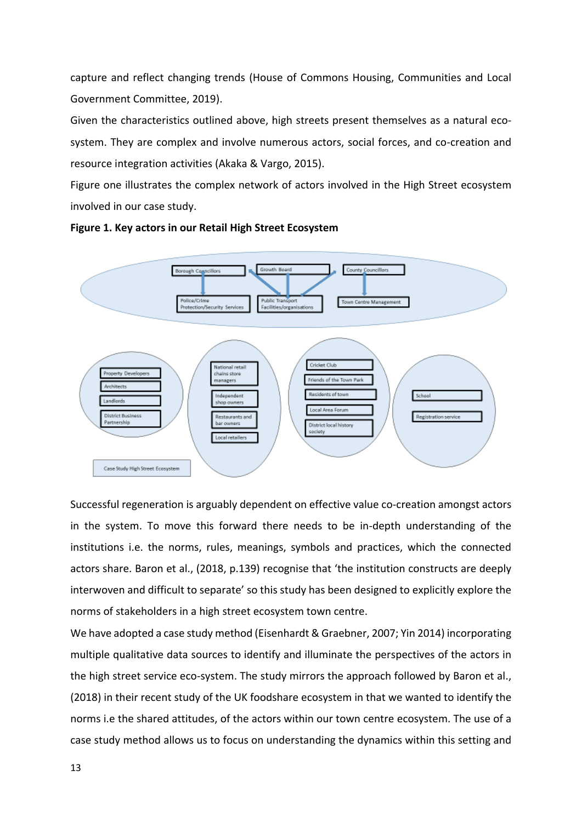capture and reflect changing trends (House of Commons Housing, Communities and Local Government Committee, 2019).

Given the characteristics outlined above, high streets present themselves as a natural ecosystem. They are complex and involve numerous actors, social forces, and co-creation and resource integration activities (Akaka & Vargo, 2015).

Figure one illustrates the complex network of actors involved in the High Street ecosystem involved in our case study.



**Figure 1. Key actors in our Retail High Street Ecosystem**

Successful regeneration is arguably dependent on effective value co-creation amongst actors in the system. To move this forward there needs to be in-depth understanding of the institutions i.e. the norms, rules, meanings, symbols and practices, which the connected actors share. Baron et al., (2018, p.139) recognise that 'the institution constructs are deeply interwoven and difficult to separate' so this study has been designed to explicitly explore the norms of stakeholders in a high street ecosystem town centre.

We have adopted a case study method (Eisenhardt & Graebner, 2007; Yin 2014) incorporating multiple qualitative data sources to identify and illuminate the perspectives of the actors in the high street service eco-system. The study mirrors the approach followed by Baron et al., (2018) in their recent study of the UK foodshare ecosystem in that we wanted to identify the norms i.e the shared attitudes, of the actors within our town centre ecosystem. The use of a case study method allows us to focus on understanding the dynamics within this setting and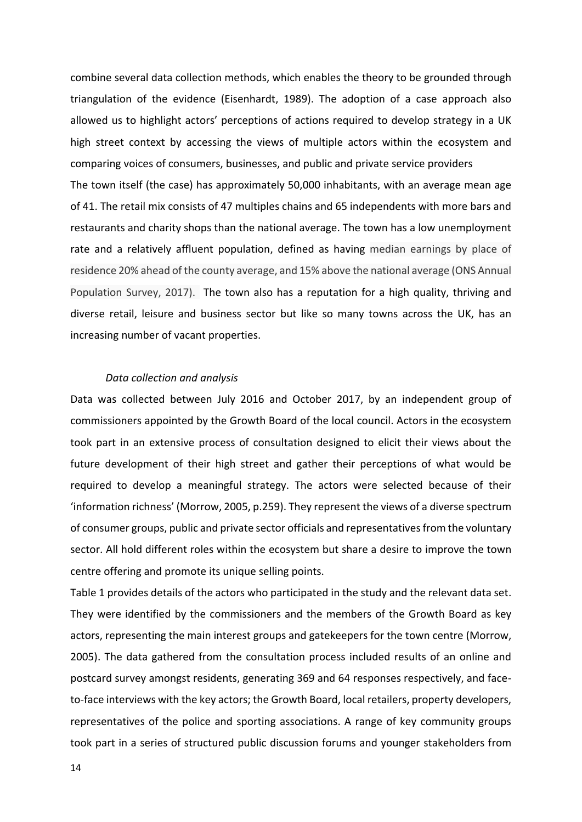combine several data collection methods, which enables the theory to be grounded through triangulation of the evidence (Eisenhardt, 1989). The adoption of a case approach also allowed us to highlight actors' perceptions of actions required to develop strategy in a UK high street context by accessing the views of multiple actors within the ecosystem and comparing voices of consumers, businesses, and public and private service providers The town itself (the case) has approximately 50,000 inhabitants, with an average mean age of 41. The retail mix consists of 47 multiples chains and 65 independents with more bars and restaurants and charity shops than the national average. The town has a low unemployment rate and a relatively affluent population, defined as having median earnings by place of residence 20% ahead of the county average, and 15% above the national average (ONS Annual Population Survey, 2017). The town also has a reputation for a high quality, thriving and diverse retail, leisure and business sector but like so many towns across the UK, has an increasing number of vacant properties.

### *Data collection and analysis*

Data was collected between July 2016 and October 2017, by an independent group of commissioners appointed by the Growth Board of the local council. Actors in the ecosystem took part in an extensive process of consultation designed to elicit their views about the future development of their high street and gather their perceptions of what would be required to develop a meaningful strategy. The actors were selected because of their 'information richness' (Morrow, 2005, p.259). They represent the views of a diverse spectrum of consumer groups, public and private sector officials and representatives from the voluntary sector. All hold different roles within the ecosystem but share a desire to improve the town centre offering and promote its unique selling points.

Table 1 provides details of the actors who participated in the study and the relevant data set. They were identified by the commissioners and the members of the Growth Board as key actors, representing the main interest groups and gatekeepers for the town centre (Morrow, 2005). The data gathered from the consultation process included results of an online and postcard survey amongst residents, generating 369 and 64 responses respectively, and faceto-face interviews with the key actors; the Growth Board, local retailers, property developers, representatives of the police and sporting associations. A range of key community groups took part in a series of structured public discussion forums and younger stakeholders from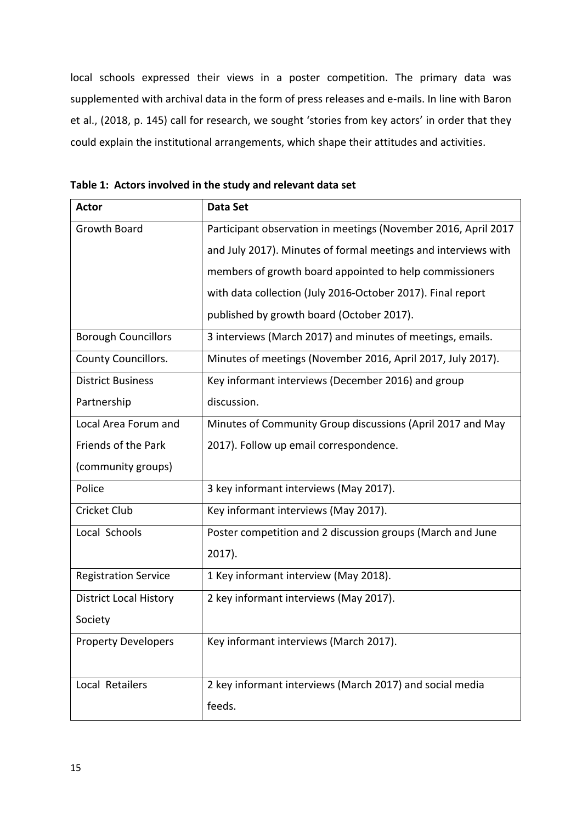local schools expressed their views in a poster competition. The primary data was supplemented with archival data in the form of press releases and e-mails. In line with Baron et al., (2018, p. 145) call for research, we sought 'stories from key actors' in order that they could explain the institutional arrangements, which shape their attitudes and activities.

| <b>Actor</b>                  | Data Set                                                       |
|-------------------------------|----------------------------------------------------------------|
| Growth Board                  | Participant observation in meetings (November 2016, April 2017 |
|                               | and July 2017). Minutes of formal meetings and interviews with |
|                               | members of growth board appointed to help commissioners        |
|                               | with data collection (July 2016-October 2017). Final report    |
|                               | published by growth board (October 2017).                      |
| <b>Borough Councillors</b>    | 3 interviews (March 2017) and minutes of meetings, emails.     |
| <b>County Councillors.</b>    | Minutes of meetings (November 2016, April 2017, July 2017).    |
| <b>District Business</b>      | Key informant interviews (December 2016) and group             |
| Partnership                   | discussion.                                                    |
| Local Area Forum and          | Minutes of Community Group discussions (April 2017 and May     |
| Friends of the Park           | 2017). Follow up email correspondence.                         |
| (community groups)            |                                                                |
| Police                        | 3 key informant interviews (May 2017).                         |
| Cricket Club                  | Key informant interviews (May 2017).                           |
| Local Schools                 | Poster competition and 2 discussion groups (March and June     |
|                               | $2017$ ).                                                      |
| <b>Registration Service</b>   | 1 Key informant interview (May 2018).                          |
| <b>District Local History</b> | 2 key informant interviews (May 2017).                         |
| Society                       |                                                                |
| <b>Property Developers</b>    | Key informant interviews (March 2017).                         |
|                               |                                                                |
| Local Retailers               | 2 key informant interviews (March 2017) and social media       |
|                               | feeds.                                                         |

**Table 1: Actors involved in the study and relevant data set**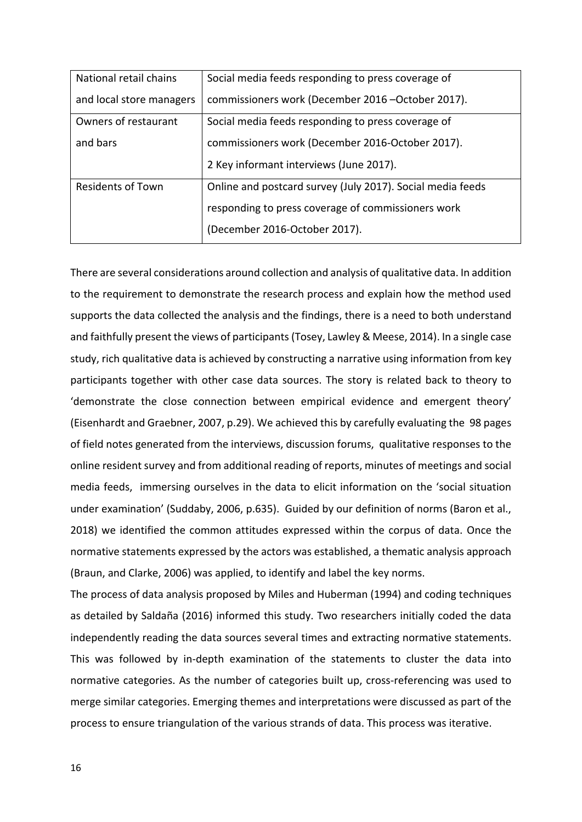| National retail chains   | Social media feeds responding to press coverage of         |
|--------------------------|------------------------------------------------------------|
| and local store managers | commissioners work (December 2016 - October 2017).         |
| Owners of restaurant     | Social media feeds responding to press coverage of         |
| and bars                 | commissioners work (December 2016-October 2017).           |
|                          | 2 Key informant interviews (June 2017).                    |
| <b>Residents of Town</b> | Online and postcard survey (July 2017). Social media feeds |
|                          | responding to press coverage of commissioners work         |
|                          | (December 2016-October 2017).                              |

There are several considerations around collection and analysis of qualitative data. In addition to the requirement to demonstrate the research process and explain how the method used supports the data collected the analysis and the findings, there is a need to both understand and faithfully present the views of participants(Tosey, Lawley & Meese, 2014). In a single case study, rich qualitative data is achieved by constructing a narrative using information from key participants together with other case data sources. The story is related back to theory to 'demonstrate the close connection between empirical evidence and emergent theory' (Eisenhardt and Graebner, 2007, p.29). We achieved this by carefully evaluating the 98 pages of field notes generated from the interviews, discussion forums, qualitative responses to the online resident survey and from additional reading of reports, minutes of meetings and social media feeds, immersing ourselves in the data to elicit information on the 'social situation under examination' (Suddaby, 2006, p.635). Guided by our definition of norms (Baron et al., 2018) we identified the common attitudes expressed within the corpus of data. Once the normative statements expressed by the actors was established, a thematic analysis approach (Braun, and Clarke, 2006) was applied, to identify and label the key norms.

The process of data analysis proposed by Miles and Huberman (1994) and coding techniques as detailed by Saldaña (2016) informed this study. Two researchers initially coded the data independently reading the data sources several times and extracting normative statements. This was followed by in-depth examination of the statements to cluster the data into normative categories. As the number of categories built up, cross-referencing was used to merge similar categories. Emerging themes and interpretations were discussed as part of the process to ensure triangulation of the various strands of data. This process was iterative.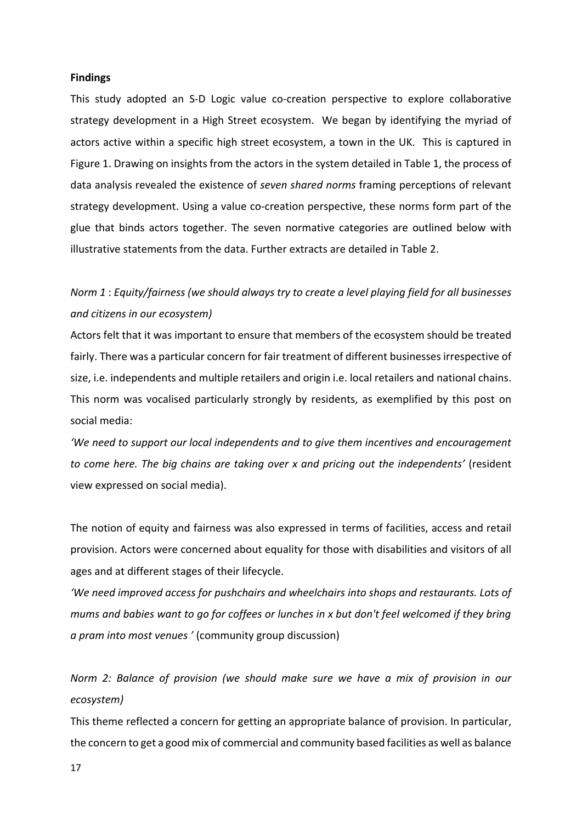## **Findings**

This study adopted an S-D Logic value co-creation perspective to explore collaborative strategy development in a High Street ecosystem. We began by identifying the myriad of actors active within a specific high street ecosystem, a town in the UK. This is captured in Figure 1. Drawing on insights from the actors in the system detailed in Table 1, the process of data analysis revealed the existence of *seven shared norms* framing perceptions of relevant strategy development. Using a value co-creation perspective, these norms form part of the glue that binds actors together. The seven normative categories are outlined below with illustrative statements from the data. Further extracts are detailed in Table 2.

# *Norm 1* : *Equity/fairness (we should always try to create a level playing field for all businesses and citizens in our ecosystem)*

Actors felt that it was important to ensure that members of the ecosystem should be treated fairly. There was a particular concern for fair treatment of different businesses irrespective of size, i.e. independents and multiple retailers and origin i.e. local retailers and national chains. This norm was vocalised particularly strongly by residents, as exemplified by this post on social media:

*'We need to support our local independents and to give them incentives and encouragement to come here. The big chains are taking over x and pricing out the independents'* (resident view expressed on social media).

The notion of equity and fairness was also expressed in terms of facilities, access and retail provision. Actors were concerned about equality for those with disabilities and visitors of all ages and at different stages of their lifecycle.

*'We need improved access for pushchairs and wheelchairs into shops and restaurants. Lots of mums and babies want to go for coffees or lunches in x but don't feel welcomed if they bring a pram into most venues '* (community group discussion)

*Norm 2: Balance of provision (we should make sure we have a mix of provision in our ecosystem)*

This theme reflected a concern for getting an appropriate balance of provision. In particular, the concern to get a good mix of commercial and community based facilities as well as balance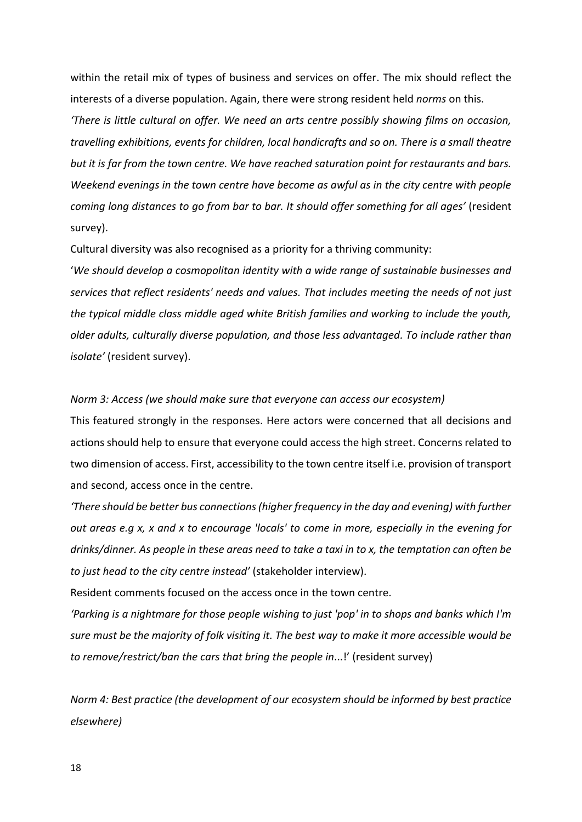within the retail mix of types of business and services on offer. The mix should reflect the interests of a diverse population. Again, there were strong resident held *norms* on this.

*'There is little cultural on offer. We need an arts centre possibly showing films on occasion, travelling exhibitions, events for children, local handicrafts and so on. There is a small theatre but it is far from the town centre. We have reached saturation point for restaurants and bars. Weekend evenings in the town centre have become as awful as in the city centre with people coming long distances to go from bar to bar. It should offer something for all ages'* (resident survey).

Cultural diversity was also recognised as a priority for a thriving community:

'*We should develop a cosmopolitan identity with a wide range of sustainable businesses and services that reflect residents' needs and values. That includes meeting the needs of not just the typical middle class middle aged white British families and working to include the youth, older adults, culturally diverse population, and those less advantaged. To include rather than isolate'* (resident survey).

# *Norm 3: Access (we should make sure that everyone can access our ecosystem)*

This featured strongly in the responses. Here actors were concerned that all decisions and actions should help to ensure that everyone could access the high street. Concerns related to two dimension of access. First, accessibility to the town centre itself i.e. provision of transport and second, access once in the centre.

*'There should be better bus connections (higher frequency in the day and evening) with further out areas e.g x, x and x to encourage 'locals' to come in more, especially in the evening for drinks/dinner. As people in these areas need to take a taxi in to x, the temptation can often be to just head to the city centre instead'* (stakeholder interview).

Resident comments focused on the access once in the town centre.

*'Parking is a nightmare for those people wishing to just 'pop' in to shops and banks which I'm sure must be the majority of folk visiting it. The best way to make it more accessible would be to remove/restrict/ban the cars that bring the people in*...!' (resident survey)

*Norm 4: Best practice (the development of our ecosystem should be informed by best practice elsewhere)*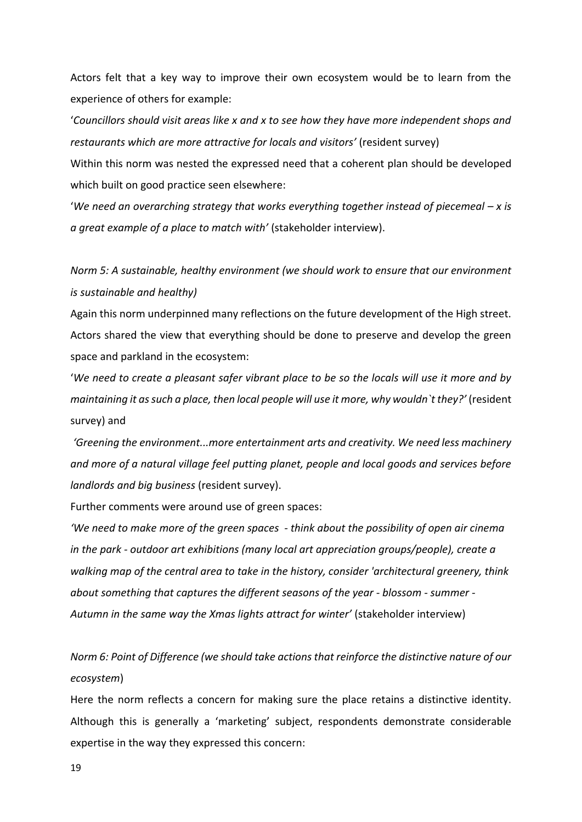Actors felt that a key way to improve their own ecosystem would be to learn from the experience of others for example:

'*Councillors should visit areas like x and x to see how they have more independent shops and restaurants which are more attractive for locals and visitors'* (resident survey)

Within this norm was nested the expressed need that a coherent plan should be developed which built on good practice seen elsewhere:

'We need an overarching strategy that works everything together instead of piecemeal – x is *a great example of a place to match with'* (stakeholder interview).

# *Norm 5: A sustainable, healthy environment (we should work to ensure that our environment is sustainable and healthy)*

Again this norm underpinned many reflections on the future development of the High street. Actors shared the view that everything should be done to preserve and develop the green space and parkland in the ecosystem:

'*We need to create a pleasant safer vibrant place to be so the locals will use it more and by maintaining it as such a place, then local people will use it more, why wouldn`t they?'* (resident survey) and

*'Greening the environment...more entertainment arts and creativity. We need less machinery and more of a natural village feel putting planet, people and local goods and services before landlords and big business* (resident survey).

Further comments were around use of green spaces:

*'We need to make more of the green spaces - think about the possibility of open air cinema in the park - outdoor art exhibitions (many local art appreciation groups/people), create a walking map of the central area to take in the history, consider 'architectural greenery, think about something that captures the different seasons of the year - blossom - summer - Autumn in the same way the Xmas lights attract for winter'* (stakeholder interview)

*Norm 6: Point of Difference (we should take actions that reinforce the distinctive nature of our ecosystem*)

Here the norm reflects a concern for making sure the place retains a distinctive identity. Although this is generally a 'marketing' subject, respondents demonstrate considerable expertise in the way they expressed this concern: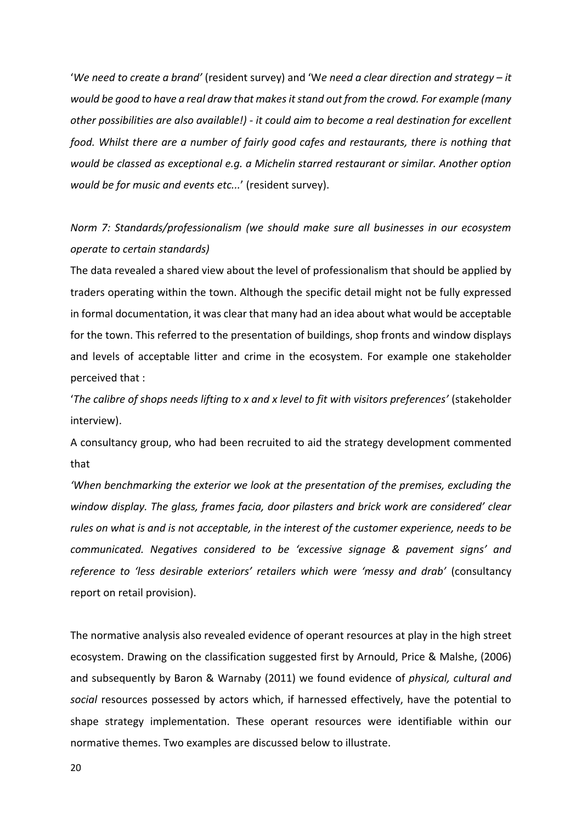'*We need to create a brand'* (resident survey) and 'W*e need a clear direction and strategy – it would be good to have a real draw that makes it stand out from the crowd. For example (many other possibilities are also available!) - it could aim to become a real destination for excellent food. Whilst there are a number of fairly good cafes and restaurants, there is nothing that would be classed as exceptional e.g. a Michelin starred restaurant or similar. Another option would be for music and events etc...*' (resident survey).

*Norm 7: Standards/professionalism (we should make sure all businesses in our ecosystem operate to certain standards)* 

The data revealed a shared view about the level of professionalism that should be applied by traders operating within the town. Although the specific detail might not be fully expressed in formal documentation, it was clear that many had an idea about what would be acceptable for the town. This referred to the presentation of buildings, shop fronts and window displays and levels of acceptable litter and crime in the ecosystem. For example one stakeholder perceived that :

'*The calibre of shops needs lifting to x and x level to fit with visitors preferences'* (stakeholder interview).

A consultancy group, who had been recruited to aid the strategy development commented that

*'When benchmarking the exterior we look at the presentation of the premises, excluding the window display. The glass, frames facia, door pilasters and brick work are considered' clear rules on what is and is not acceptable, in the interest of the customer experience, needs to be communicated. Negatives considered to be 'excessive signage & pavement signs' and reference to 'less desirable exteriors' retailers which were 'messy and drab'* (consultancy report on retail provision).

The normative analysis also revealed evidence of operant resources at play in the high street ecosystem. Drawing on the classification suggested first by Arnould, Price & Malshe, (2006) and subsequently by Baron & Warnaby (2011) we found evidence of *physical, cultural and social* resources possessed by actors which, if harnessed effectively, have the potential to shape strategy implementation. These operant resources were identifiable within our normative themes. Two examples are discussed below to illustrate.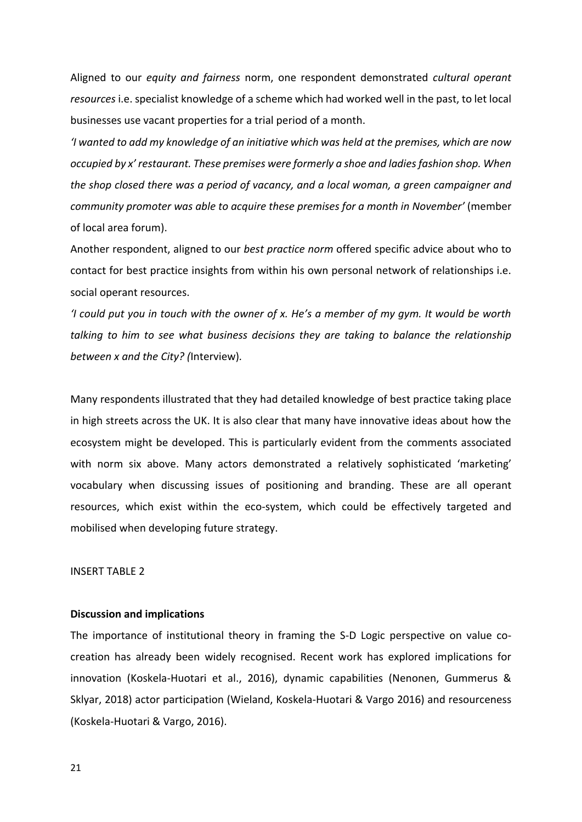Aligned to our *equity and fairness* norm, one respondent demonstrated *cultural operant resources* i.e. specialist knowledge of a scheme which had worked well in the past, to let local businesses use vacant properties for a trial period of a month.

*'I wanted to add my knowledge of an initiative which was held at the premises, which are now occupied by x' restaurant. These premises were formerly a shoe and ladies fashion shop. When the shop closed there was a period of vacancy, and a local woman, a green campaigner and community promoter was able to acquire these premises for a month in November'* (member of local area forum).

Another respondent, aligned to our *best practice norm* offered specific advice about who to contact for best practice insights from within his own personal network of relationships i.e. social operant resources.

*'I could put you in touch with the owner of x. He's a member of my gym. It would be worth talking to him to see what business decisions they are taking to balance the relationship between x and the City? (*Interview)*.*

Many respondents illustrated that they had detailed knowledge of best practice taking place in high streets across the UK. It is also clear that many have innovative ideas about how the ecosystem might be developed. This is particularly evident from the comments associated with norm six above. Many actors demonstrated a relatively sophisticated 'marketing' vocabulary when discussing issues of positioning and branding. These are all operant resources, which exist within the eco-system, which could be effectively targeted and mobilised when developing future strategy.

# INSERT TABLE 2

## **Discussion and implications**

The importance of institutional theory in framing the S-D Logic perspective on value cocreation has already been widely recognised. Recent work has explored implications for innovation (Koskela-Huotari et al., 2016), dynamic capabilities (Nenonen, Gummerus & Sklyar, 2018) actor participation (Wieland, Koskela-Huotari & Vargo 2016) and resourceness (Koskela-Huotari & Vargo, 2016).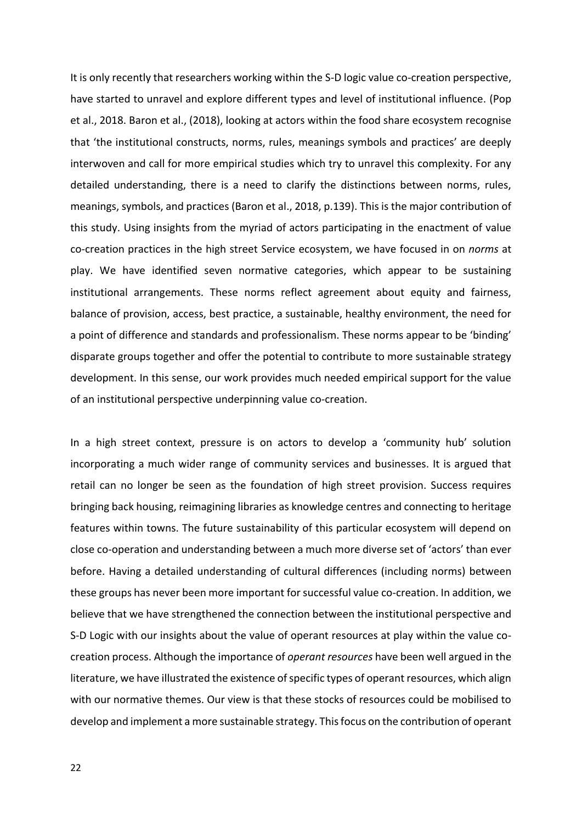It is only recently that researchers working within the S-D logic value co-creation perspective, have started to unravel and explore different types and level of institutional influence. (Pop et al., 2018. Baron et al., (2018), looking at actors within the food share ecosystem recognise that 'the institutional constructs, norms, rules, meanings symbols and practices' are deeply interwoven and call for more empirical studies which try to unravel this complexity. For any detailed understanding, there is a need to clarify the distinctions between norms, rules, meanings, symbols, and practices (Baron et al., 2018, p.139). This is the major contribution of this study. Using insights from the myriad of actors participating in the enactment of value co-creation practices in the high street Service ecosystem, we have focused in on *norms* at play. We have identified seven normative categories, which appear to be sustaining institutional arrangements. These norms reflect agreement about equity and fairness, balance of provision, access, best practice, a sustainable, healthy environment, the need for a point of difference and standards and professionalism. These norms appear to be 'binding' disparate groups together and offer the potential to contribute to more sustainable strategy development. In this sense, our work provides much needed empirical support for the value of an institutional perspective underpinning value co-creation.

In a high street context, pressure is on actors to develop a 'community hub' solution incorporating a much wider range of community services and businesses. It is argued that retail can no longer be seen as the foundation of high street provision. Success requires bringing back housing, reimagining libraries as knowledge centres and connecting to heritage features within towns. The future sustainability of this particular ecosystem will depend on close co-operation and understanding between a much more diverse set of 'actors' than ever before. Having a detailed understanding of cultural differences (including norms) between these groups has never been more important for successful value co-creation. In addition, we believe that we have strengthened the connection between the institutional perspective and S-D Logic with our insights about the value of operant resources at play within the value cocreation process. Although the importance of *operant resources* have been well argued in the literature, we have illustrated the existence of specific types of operant resources, which align with our normative themes. Our view is that these stocks of resources could be mobilised to develop and implement a more sustainable strategy. This focus on the contribution of operant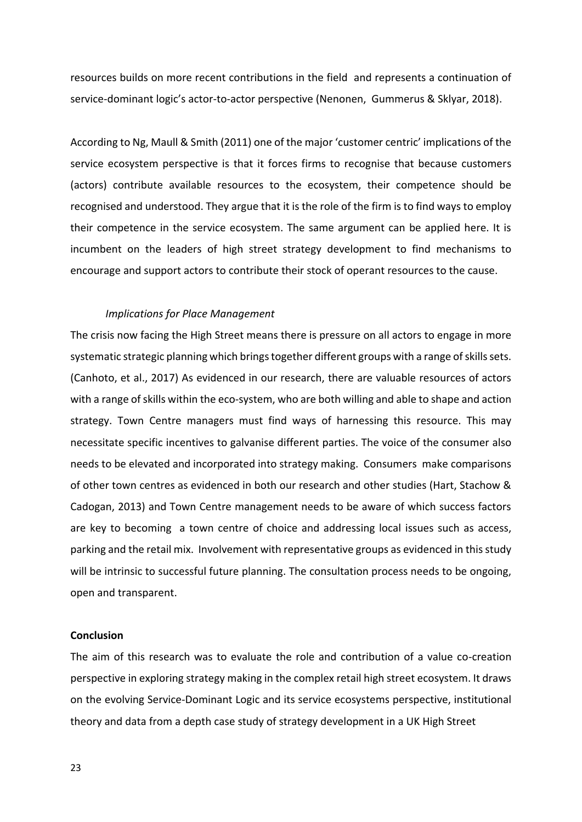resources builds on more recent contributions in the field and represents a continuation of service-dominant logic's actor-to-actor perspective (Nenonen, Gummerus & Sklyar, 2018).

According to Ng, Maull & Smith (2011) one of the major 'customer centric' implications of the service ecosystem perspective is that it forces firms to recognise that because customers (actors) contribute available resources to the ecosystem, their competence should be recognised and understood. They argue that it is the role of the firm is to find ways to employ their competence in the service ecosystem. The same argument can be applied here. It is incumbent on the leaders of high street strategy development to find mechanisms to encourage and support actors to contribute their stock of operant resources to the cause.

# *Implications for Place Management*

The crisis now facing the High Street means there is pressure on all actors to engage in more systematic strategic planning which brings together different groups with a range of skills sets. (Canhoto, et al., 2017) As evidenced in our research, there are valuable resources of actors with a range of skills within the eco-system, who are both willing and able to shape and action strategy. Town Centre managers must find ways of harnessing this resource. This may necessitate specific incentives to galvanise different parties. The voice of the consumer also needs to be elevated and incorporated into strategy making. Consumers make comparisons of other town centres as evidenced in both our research and other studies (Hart, Stachow & Cadogan, 2013) and Town Centre management needs to be aware of which success factors are key to becoming a town centre of choice and addressing local issues such as access, parking and the retail mix. Involvement with representative groups as evidenced in this study will be intrinsic to successful future planning. The consultation process needs to be ongoing, open and transparent.

# **Conclusion**

The aim of this research was to evaluate the role and contribution of a value co-creation perspective in exploring strategy making in the complex retail high street ecosystem. It draws on the evolving Service-Dominant Logic and its service ecosystems perspective, institutional theory and data from a depth case study of strategy development in a UK High Street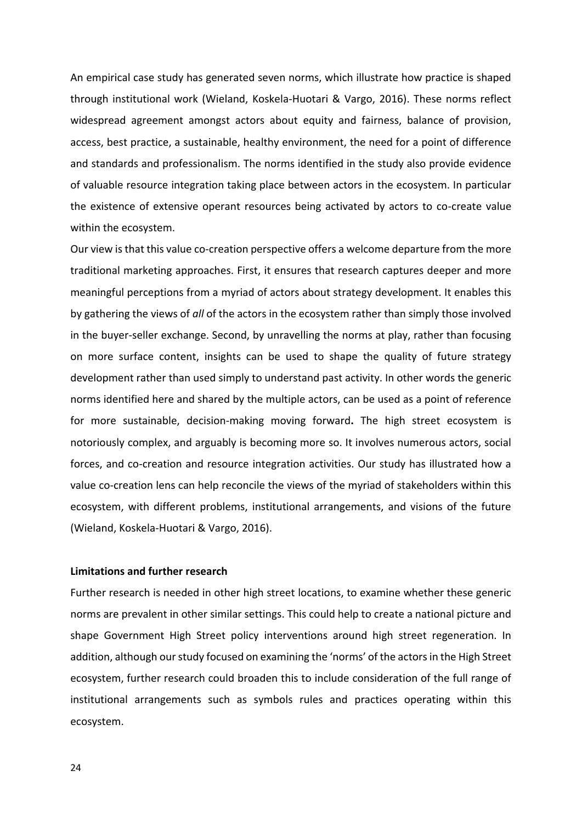An empirical case study has generated seven norms, which illustrate how practice is shaped through institutional work (Wieland, Koskela-Huotari & Vargo, 2016). These norms reflect widespread agreement amongst actors about equity and fairness, balance of provision, access, best practice, a sustainable, healthy environment, the need for a point of difference and standards and professionalism. The norms identified in the study also provide evidence of valuable resource integration taking place between actors in the ecosystem. In particular the existence of extensive operant resources being activated by actors to co-create value within the ecosystem.

Our view is that this value co-creation perspective offers a welcome departure from the more traditional marketing approaches. First, it ensures that research captures deeper and more meaningful perceptions from a myriad of actors about strategy development. It enables this by gathering the views of *all* of the actors in the ecosystem rather than simply those involved in the buyer-seller exchange. Second, by unravelling the norms at play, rather than focusing on more surface content, insights can be used to shape the quality of future strategy development rather than used simply to understand past activity. In other words the generic norms identified here and shared by the multiple actors, can be used as a point of reference for more sustainable, decision-making moving forward**.** The high street ecosystem is notoriously complex, and arguably is becoming more so. It involves numerous actors, social forces, and co-creation and resource integration activities. Our study has illustrated how a value co-creation lens can help reconcile the views of the myriad of stakeholders within this ecosystem, with different problems, institutional arrangements, and visions of the future (Wieland, Koskela-Huotari & Vargo, 2016).

# **Limitations and further research**

Further research is needed in other high street locations, to examine whether these generic norms are prevalent in other similar settings. This could help to create a national picture and shape Government High Street policy interventions around high street regeneration. In addition, although our study focused on examining the 'norms' of the actors in the High Street ecosystem, further research could broaden this to include consideration of the full range of institutional arrangements such as symbols rules and practices operating within this ecosystem.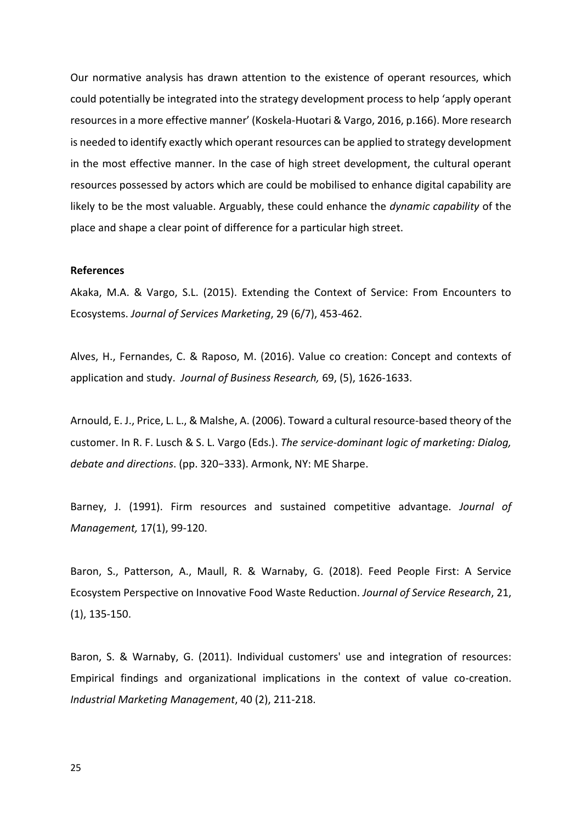Our normative analysis has drawn attention to the existence of operant resources, which could potentially be integrated into the strategy development process to help 'apply operant resources in a more effective manner' (Koskela-Huotari & Vargo, 2016, p.166). More research is needed to identify exactly which operant resources can be applied to strategy development in the most effective manner. In the case of high street development, the cultural operant resources possessed by actors which are could be mobilised to enhance digital capability are likely to be the most valuable. Arguably, these could enhance the *dynamic capability* of the place and shape a clear point of difference for a particular high street.

#### **References**

Akaka, M.A. & Vargo, S.L. (2015). Extending the Context of Service: From Encounters to Ecosystems. *Journal of Services Marketing*, 29 (6/7), 453-462.

Alves, H., Fernandes, C. & Raposo, M. (2016). Value co creation: Concept and contexts of application and study. *Journal of Business Research,* 69, (5), 1626-1633.

Arnould, E. J., Price, L. L., & Malshe, A. (2006). Toward a cultural resource-based theory of the customer. In R. F. Lusch & S. L. Vargo (Eds.). *The service-dominant logic of marketing: Dialog, debate and directions*. (pp. 320−333). Armonk, NY: ME Sharpe.

Barney, J. (1991). Firm resources and sustained competitive advantage. *Journal of Management,* 17(1), 99-120.

Baron, S., Patterson, A., Maull, R. & Warnaby, G. (2018). Feed People First: A Service Ecosystem Perspective on Innovative Food Waste Reduction. *Journal of Service Research*, 21, (1), 135-150.

Baron, S. & Warnaby, G. (2011). Individual customers' use and integration of resources: Empirical findings and organizational implications in the context of value co-creation. *Industrial Marketing Management*, 40 (2), 211-218.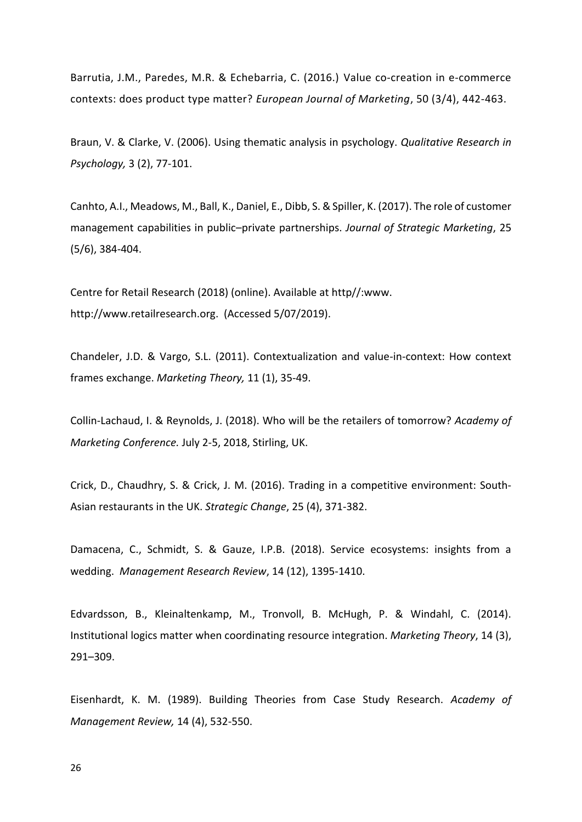Barrutia, J.M., Paredes, M.R. & Echebarria, C. (2016.) Value co-creation in e-commerce contexts: does product type matter? *European Journal of Marketing*, 50 (3/4), 442-463.

Braun, V. & Clarke, V. (2006). Using thematic analysis in psychology. *Qualitative Research in Psychology,* 3 (2), 77-101.

Canhto, A.I., Meadows, M., Ball, K., Daniel, E., Dibb, S. & Spiller, K. (2017). The role of customer management capabilities in public–private partnerships. *Journal of Strategic Marketing*, 25 (5/6), 384-404.

Centre for Retail Research (2018) (online). Available at http//:www. [http://www.retailresearch.org.](http://www.retailresearch.org/) (Accessed 5/07/2019).

Chandeler, J.D. & Vargo, S.L. (2011). Contextualization and value-in-context: How context frames exchange. *Marketing Theory,* 11 (1), 35-49.

Collin-Lachaud, I. & Reynolds, J. (2018). Who will be the retailers of tomorrow? *Academy of Marketing Conference.* July 2-5, 2018, Stirling, UK.

Crick, D., Chaudhry, S. & Crick, J. M. (2016). Trading in a competitive environment: South‐ Asian restaurants in the UK. *Strategic Change*, 25 (4), 371-382.

Damacena, C., Schmidt, S. & Gauze, I.P.B. (2018). Service ecosystems: insights from a wedding. *Management Research Review*, 14 (12), 1395-1410.

Edvardsson, B., Kleinaltenkamp, M., Tronvoll, B. McHugh, P. & Windahl, C. (2014). Institutional logics matter when coordinating resource integration. *Marketing Theory*, 14 (3), 291–309.

Eisenhardt, K. M. (1989). Building Theories from Case Study Research. *Academy of Management Review,* 14 (4), 532-550.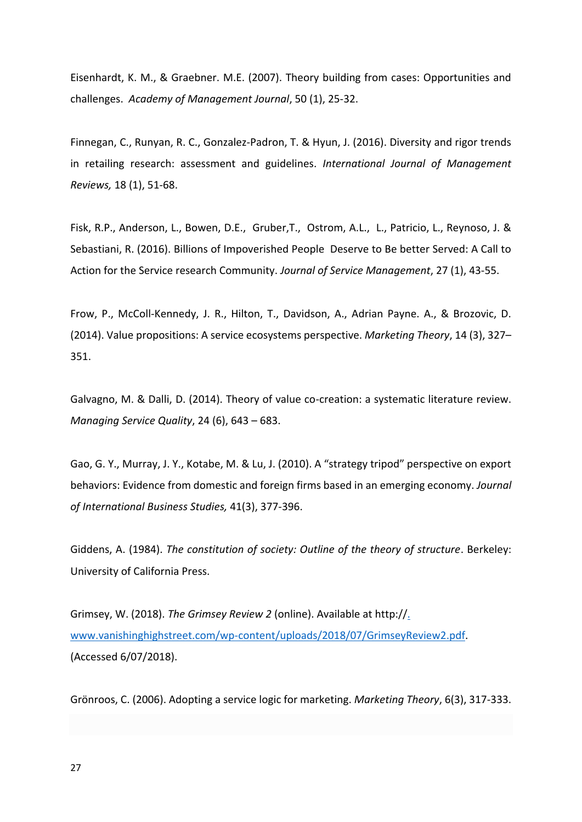Eisenhardt, K. M., & Graebner. M.E. (2007). Theory building from cases: Opportunities and challenges. *Academy of Management Journal*, 50 (1), 25-32.

Finnegan, C., Runyan, R. C., Gonzalez‐Padron, T. & Hyun, J. (2016). Diversity and rigor trends in retailing research: assessment and guidelines. *International Journal of Management Reviews,* 18 (1), 51-68.

Fisk, R.P., Anderson, L., Bowen, D.E., Gruber,T., Ostrom, A.L., L., Patricio, L., Reynoso, J. & Sebastiani, R. (2016). Billions of Impoverished People Deserve to Be better Served: A Call to Action for the Service research Community. *Journal of Service Management*, 27 (1), 43-55.

Frow, P., McColl-Kennedy, J. R., Hilton, T., Davidson, A., Adrian Payne. A., & Brozovic, D. (2014). Value propositions: A service ecosystems perspective. *Marketing Theory*, 14 (3), 327– 351.

Galvagno, M. & Dalli, D. (2014). Theory of value co-creation: a systematic literature review. *Managing Service Quality*, 24 (6), 643 – 683.

Gao, G. Y., Murray, J. Y., Kotabe, M. & Lu, J. (2010). A "strategy tripod" perspective on export behaviors: Evidence from domestic and foreign firms based in an emerging economy. *Journal of International Business Studies,* 41(3), 377-396.

Giddens, A. (1984). *The constitution of society: Outline of the theory of structure*. Berkeley: University of California Press.

Grimsey, W. (2018). *The Grimsey Review 2* (online). Available at http://. www.vanishinghighstreet.com/wp-content/uploads/2018/07/GrimseyReview2.pdf. (Accessed 6/07/2018).

Grönroos, C. (2006). Adopting a service logic for marketing. *Marketing Theory*, 6(3), 317-333.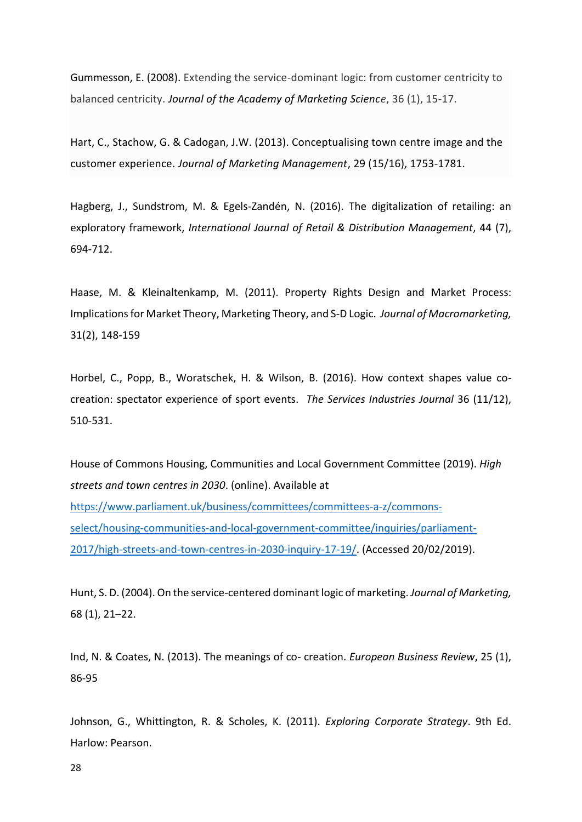Gummesson, E. (2008). Extending the service-dominant logic: from customer centricity to balanced centricity. *Journal of the Academy of Marketing Science*, 36 (1), 15-17.

Hart, C., Stachow, G. & Cadogan, J.W. (2013). Conceptualising town centre image and the customer experience. *Journal of Marketing Management*, 29 (15/16), 1753-1781.

Hagberg, J., Sundstrom, M. & Egels-Zandén, N. (2016). The digitalization of retailing: an exploratory framework, *International Journal of Retail & Distribution Management*, 44 (7), 694-712.

Haase, M. & Kleinaltenkamp, M. (2011). Property Rights Design and Market Process: Implications for Market Theory, Marketing Theory, and S-D Logic.*Journal of Macromarketing,*  31(2), 148-159

Horbel, C., Popp, B., Woratschek, H. & Wilson, B. (2016). How context shapes value cocreation: spectator experience of sport events. *The Services Industries Journal* 36 (11/12), 510-531.

House of Commons Housing, Communities and Local Government Committee (2019). *High streets and town centres in 2030*. (online). Available at

[https://www.parliament.uk/business/committees/committees-a-z/commons](https://www.parliament.uk/business/committees/committees-a-z/commons-select/housing-communities-and-local-government-committee/inquiries/parliament-2017/high-streets-and-town-centres-in-2030-inquiry-17-19/)[select/housing-communities-and-local-government-committee/inquiries/parliament-](https://www.parliament.uk/business/committees/committees-a-z/commons-select/housing-communities-and-local-government-committee/inquiries/parliament-2017/high-streets-and-town-centres-in-2030-inquiry-17-19/)[2017/high-streets-and-town-centres-in-2030-inquiry-17-19/.](https://www.parliament.uk/business/committees/committees-a-z/commons-select/housing-communities-and-local-government-committee/inquiries/parliament-2017/high-streets-and-town-centres-in-2030-inquiry-17-19/) (Accessed 20/02/2019).

Hunt, S. D. (2004). On the service-centered dominant logic of marketing. *Journal of Marketing,* 68 (1), 21–22.

Ind, N. & Coates, N. (2013). The meanings of co- creation. *European Business Review*, 25 (1), 86-95

Johnson, G., Whittington, R. & Scholes, K. (2011). *Exploring Corporate Strategy*. 9th Ed. Harlow: Pearson.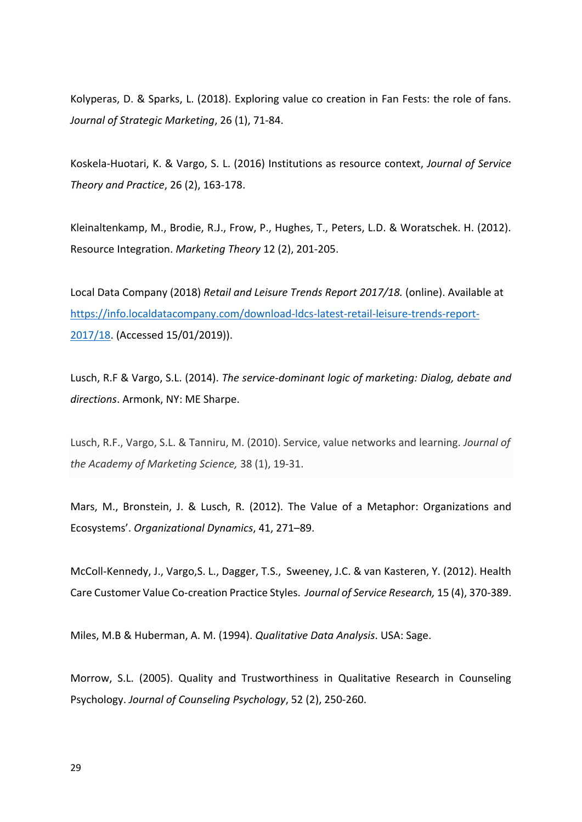Kolyperas, D. & Sparks, L. (2018). Exploring value co creation in Fan Fests: the role of fans. *Journal of Strategic Marketing*, 26 (1), 71-84.

Koskela-Huotari, K. & Vargo, S. L. (2016) Institutions as resource context, *Journal of Service Theory and Practice*, 26 (2), 163-178.

Kleinaltenkamp, M., Brodie, R.J., Frow, P., Hughes, T., Peters, L.D. & Woratschek. H. (2012). Resource Integration. *Marketing Theory* 12 (2), 201-205.

Local Data Company (2018) *Retail and Leisure Trends Report 2017/18.* (online). Available at [https://info.localdatacompany.com/download-ldcs-latest-retail-leisure-trends-report-](https://info.localdatacompany.com/download-ldcs-latest-retail-leisure-trends-report-2017/18)[2017/18.](https://info.localdatacompany.com/download-ldcs-latest-retail-leisure-trends-report-2017/18) (Accessed 15/01/2019)).

Lusch, R.F & Vargo, S.L. (2014). *The service-dominant logic of marketing: Dialog, debate and directions*. Armonk, NY: ME Sharpe.

Lusch, R.F., Vargo, S.L. & Tanniru, M. (2010). Service, value networks and learning. *Journal of the Academy of Marketing Science,* 38 (1), 19-31.

Mars, M., Bronstein, J. & Lusch, R. (2012). The Value of a Metaphor: Organizations and Ecosystems'. *Organizational Dynamics*, 41, 271–89.

McColl-Kennedy, J., Vargo,S. L., Dagger, T.S., Sweeney, J.C. & van Kasteren, Y. (2012). Health Care Customer Value Co-creation Practice Styles. *Journal of Service Research,* 15 (4), 370-389.

Miles, M.B & Huberman, A. M. (1994). *Qualitative Data Analysis*. USA: Sage.

Morrow, S.L. (2005). Quality and Trustworthiness in Qualitative Research in Counseling Psychology. *Journal of Counseling Psychology*, 52 (2), 250-260.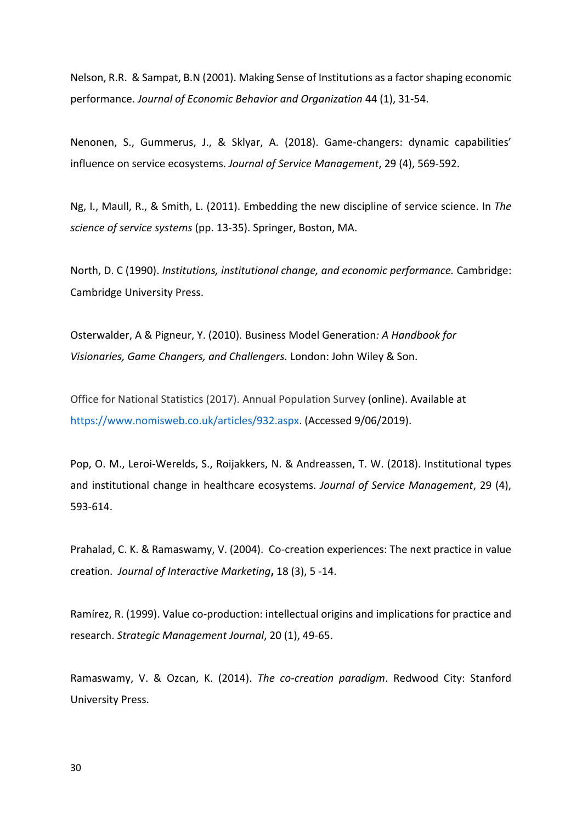Nelson, R.R. & Sampat, B.N (2001). Making Sense of Institutions as a factor shaping economic performance. *Journal of Economic Behavior and Organization* 44 (1), 31-54.

Nenonen, S., Gummerus, J., & Sklyar, A. (2018). Game-changers: dynamic capabilities' influence on service ecosystems. *Journal of Service Management*, 29 (4), 569-592.

Ng, I., Maull, R., & Smith, L. (2011). Embedding the new discipline of service science. In *The science of service systems* (pp. 13-35). Springer, Boston, MA.

North, D. C (1990). *Institutions, institutional change, and economic performance.* Cambridge: Cambridge University Press.

Osterwalder, A & Pigneur, Y. (2010). Business Model Generation*: A Handbook for Visionaries, Game Changers, and Challengers.* London: John Wiley & Son.

Office for National Statistics (2017). Annual Population Survey (online). Available at [https://www.nomisweb.co.uk/articles/932.aspx.](https://www.nomisweb.co.uk/articles/932.aspx) (Accessed 9/06/2019).

Pop, O. M., Leroi-Werelds, S., Roijakkers, N. & Andreassen, T. W. (2018). Institutional types and institutional change in healthcare ecosystems. *Journal of Service Management*, 29 (4), 593-614.

Prahalad, C. K. & Ramaswamy, V. (2004). Co-creation experiences: The next practice in value creation. *Journal of Interactive Marketing***,** 18 (3), 5 -14.

Ramírez, R. (1999). Value co-production: intellectual origins and implications for practice and research. *Strategic Management Journal*, 20 (1), 49-65.

Ramaswamy, V. & Ozcan, K. (2014). *The co-creation paradigm*. Redwood City: Stanford University Press.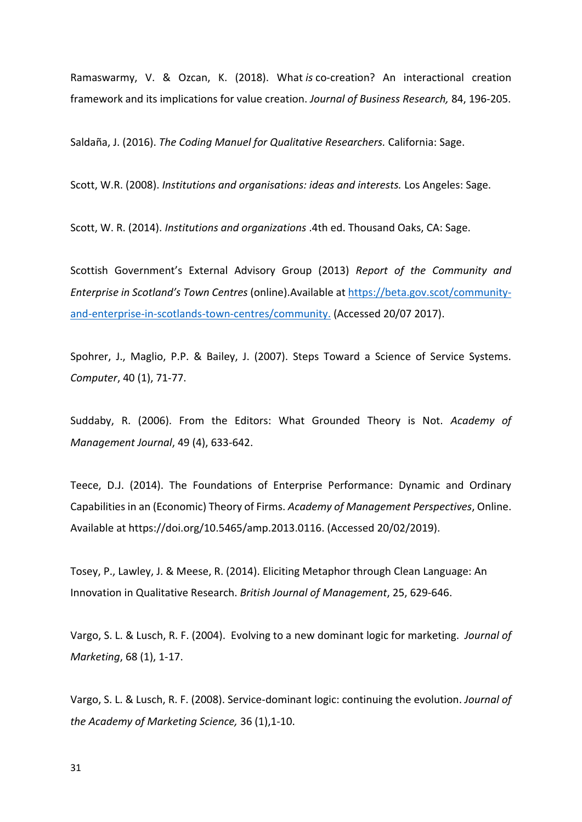Ramaswarmy, V. & Ozcan, K. (2018). What *is* co-creation? An interactional creation framework and its implications for value creation. *Journal of Business Research,* 84, 196-205.

Saldaña, J. (2016). *The Coding Manuel for Qualitative Researchers.* California: Sage.

Scott, W.R. (2008). *Institutions and organisations: ideas and interests.* Los Angeles: Sage.

Scott, W. R. (2014). *Institutions and organizations* .4th ed. Thousand Oaks, CA: Sage.

Scottish Government's External Advisory Group (2013) *Report of the Community and Enterprise in Scotland's Town Centres* (online).Available at [https://beta.gov.scot/community](https://beta.gov.scot/community-and-enterprise-in-scotlands-town-centres/community)[and-enterprise-in-scotlands-town-centres/community.](https://beta.gov.scot/community-and-enterprise-in-scotlands-town-centres/community) (Accessed 20/07 2017).

Spohrer, J., Maglio, P.P. & Bailey, J. (2007). Steps Toward a Science of Service Systems. *Computer*, 40 (1), 71-77.

Suddaby, R. (2006). From the Editors: What Grounded Theory is Not. *Academy of Management Journal*, 49 (4), 633-642.

Teece, D.J. (2014). The Foundations of Enterprise Performance: Dynamic and Ordinary Capabilities in an (Economic) Theory of Firms. *Academy of Management Perspectives*, Online. Available at [https://doi.org/10.5465/amp.2013.0116.](https://doi.org/10.5465/amp.2013.0116) (Accessed 20/02/2019).

Tosey, P., Lawley, J. & Meese, R. (2014). Eliciting Metaphor through Clean Language: An Innovation in Qualitative Research. *British Journal of Management*, 25, 629-646.

Vargo, S. L. & Lusch, R. F. (2004). Evolving to a new dominant logic for marketing. *Journal of Marketing*, 68 (1), 1-17.

Vargo, S. L. & Lusch, R. F. (2008). Service-dominant logic: continuing the evolution. *Journal of the Academy of Marketing Science,* 36 (1),1-10.